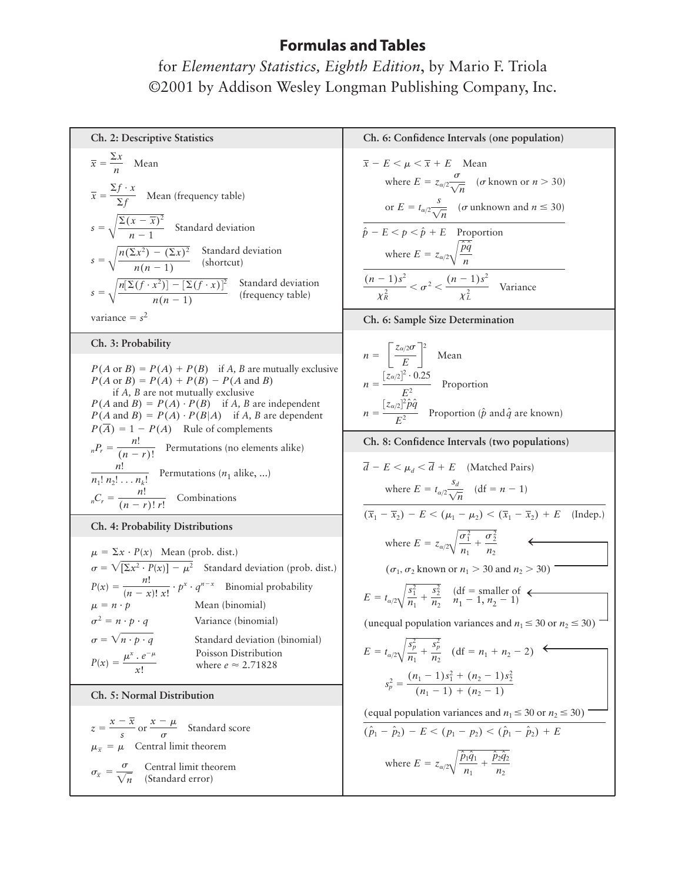for *Elementary Statistics, Eighth Edition*, by Mario F. Triola ©2001 by Addison Wesley Longman Publishing Company, Inc.

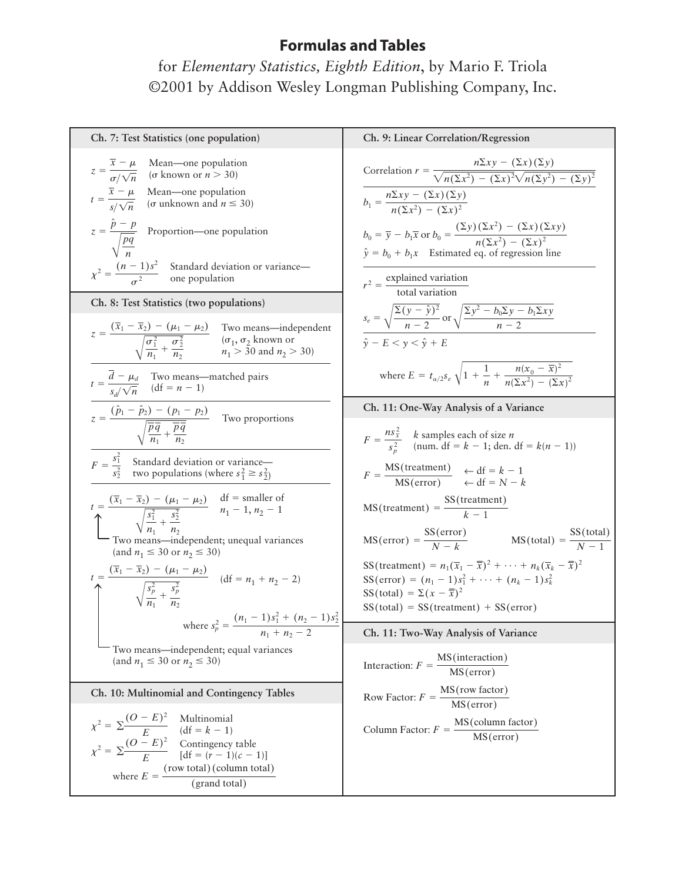for *Elementary Statistics, Eighth Edition*, by Mario F. Triola ©2001 by Addison Wesley Longman Publishing Company, Inc.

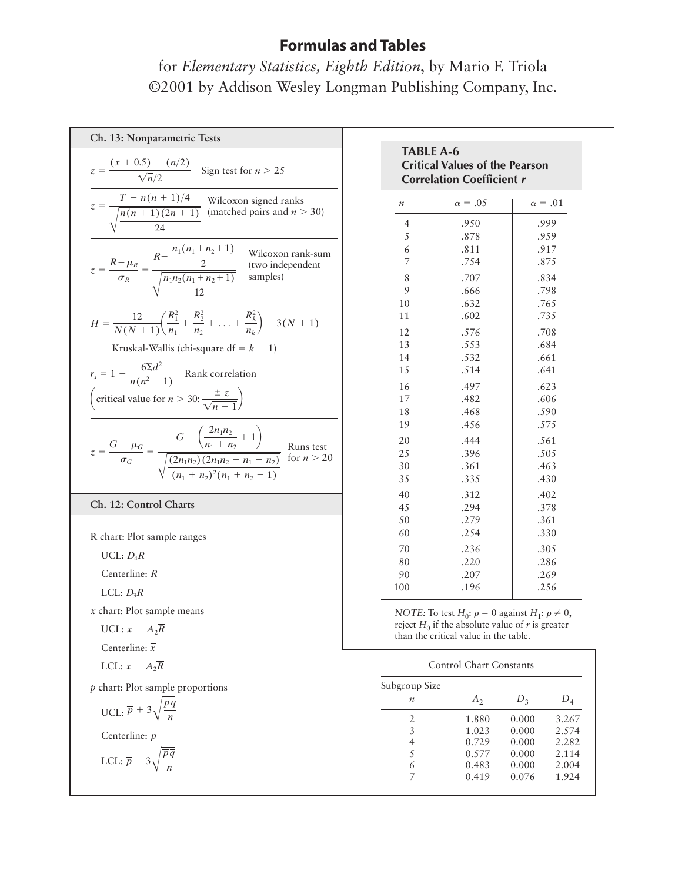for *Elementary Statistics, Eighth Edition*, by Mario F. Triola ©2001 by Addison Wesley Longman Publishing Company, Inc.

| Ch. 13: Nonparametric Tests                                                                                                                                                                    |
|------------------------------------------------------------------------------------------------------------------------------------------------------------------------------------------------|
| $z = \frac{(x + 0.5) - (n/2)}{\sqrt{n}/2}$ Sign test for $n > 25$                                                                                                                              |
| $z = \frac{T - n(n + 1)/4}{\sqrt{\frac{n(n + 1)(2n + 1)}{n}}}$ Wilcoxon signed ranks<br>(matched pairs and $n > 30$ )                                                                          |
| $z = \frac{R - \mu_R}{\sigma_R} = \frac{R - \frac{n_1(n_1 + n_2 + 1)}{2}}{\sqrt{\frac{n_1 n_2(n_1 + n_2 + 1)}{12}}}$ (two independent samples)                                                 |
| $H = \frac{12}{N(N+1)} \left( \frac{R_1^2}{n_1} + \frac{R_2^2}{n_2} + \ldots + \frac{R_k^2}{n_k} \right) - 3(N+1)$<br>Kruskal-Wallis (chi-square df = $k - 1$ )                                |
| $r_s = 1 - \frac{6\Sigma d^2}{n(n^2 - 1)}$ Rank correlation<br>(critical value for $n > 30: \frac{\pm z}{\sqrt{n-1}}$ )                                                                        |
| $z = \frac{G - \mu_G}{\sigma_G} = \frac{G - \left(\frac{2n_1n_2}{n_1 + n_2} + 1\right)}{\sqrt{\frac{(2n_1n_2)(2n_1n_2 - n_1 - n_2)}{(n_1 + n_2)^2(n_1 + n_2 - 1)}}}$ Runs test<br>for $n > 20$ |
|                                                                                                                                                                                                |
| Ch. 12: Control Charts                                                                                                                                                                         |
| R chart: Plot sample ranges<br>UCL: $D_4R$<br>Centerline: $R$<br>LCL: $D_3\overline{R}$<br>$\overline{x}$ chart: Plot sample means                                                             |
| UCL: $\overline{\overline{x}} + A_2\overline{R}$<br>Centerline: $\overline{\overline{x}}$<br>LCL: $\overline{\overline{x}}$ – $A_2\overline{R}$                                                |
| $p$ chart: Plot sample proportions<br>UCL: $\overline{p} + 3\sqrt{\frac{\overline{p}\overline{q}}{n}}$                                                                                         |

| <b>Critical Values of the Pearson</b><br><b>Correlation Coefficient r</b> |                |                |  |  |  |  |  |  |  |
|---------------------------------------------------------------------------|----------------|----------------|--|--|--|--|--|--|--|
| $\boldsymbol{n}$                                                          | $\alpha = .05$ | $\alpha = .01$ |  |  |  |  |  |  |  |
| $\overline{4}$                                                            | .950           | .999           |  |  |  |  |  |  |  |
| 5                                                                         | .878           | .959           |  |  |  |  |  |  |  |
| 6                                                                         | .811           | .917           |  |  |  |  |  |  |  |
| 7                                                                         | .754           | .875           |  |  |  |  |  |  |  |
| 8                                                                         | .707           | .834           |  |  |  |  |  |  |  |
| 9                                                                         | .666           | .798           |  |  |  |  |  |  |  |
| 10                                                                        | .632           | .765           |  |  |  |  |  |  |  |
| 11                                                                        | .602           | .735           |  |  |  |  |  |  |  |
| 12                                                                        | .576           | .708           |  |  |  |  |  |  |  |
| 13                                                                        | .553           | .684           |  |  |  |  |  |  |  |
| 14                                                                        | .532           | .661           |  |  |  |  |  |  |  |
| 15                                                                        | .514           | .641           |  |  |  |  |  |  |  |
| 16                                                                        | .497           | .623           |  |  |  |  |  |  |  |
| 17                                                                        | .482           | .606           |  |  |  |  |  |  |  |
| 18                                                                        | .468           | .590           |  |  |  |  |  |  |  |
| 19                                                                        | .456           | .575           |  |  |  |  |  |  |  |
| 20                                                                        | .444           | .561           |  |  |  |  |  |  |  |
| 25                                                                        | .396           | .505           |  |  |  |  |  |  |  |
| 30                                                                        | .361           | .463           |  |  |  |  |  |  |  |
| 35                                                                        | .335           | .430           |  |  |  |  |  |  |  |
| 40                                                                        | .312           | .402           |  |  |  |  |  |  |  |
| 45                                                                        | .294           | .378           |  |  |  |  |  |  |  |
| 50                                                                        | .279           | .361           |  |  |  |  |  |  |  |
| 60                                                                        | .254           | .330           |  |  |  |  |  |  |  |
| 70                                                                        | .236           | .305           |  |  |  |  |  |  |  |
| 80                                                                        | .220           | .286           |  |  |  |  |  |  |  |
| 90                                                                        | .207           | .269           |  |  |  |  |  |  |  |
| 100                                                                       | .196           | .256           |  |  |  |  |  |  |  |

**TABLE A-6**

*NOTE:* To test  $H_0: \rho = 0$  against  $H_1: \rho \neq 0$ , reject  $H_0$  if the absolute value of  $r$  is greater than the critical value in the table.

| Subgroup Size    |         |       |       |
|------------------|---------|-------|-------|
| $\boldsymbol{n}$ | $A_{2}$ | $D_3$ |       |
| 2.               | 1.880   | 0.000 | 3.267 |
| 3                | 1.023   | 0.000 | 2.574 |
| 4                | 0.729   | 0.000 | 2.282 |
| 5                | 0.577   | 0.000 | 2.114 |
| 6                | 0.483   | 0.000 | 2.004 |
|                  | 0.419   | 0.076 | 1.924 |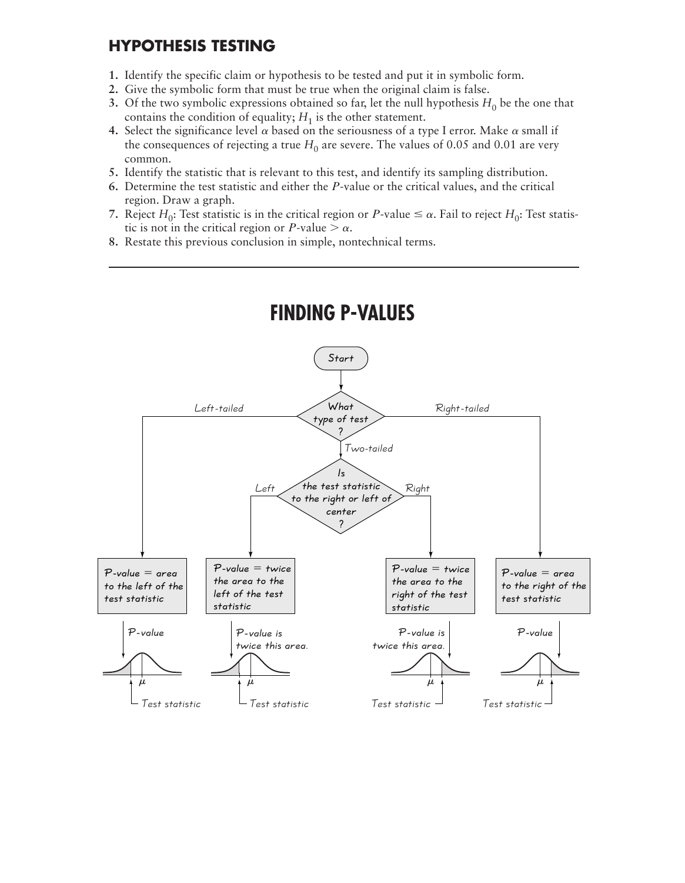## **HYPOTHESIS TESTING**

- **1.** Identify the specific claim or hypothesis to be tested and put it in symbolic form.
- **2.** Give the symbolic form that must be true when the original claim is false.
- **3.** Of the two symbolic expressions obtained so far, let the null hypothesis  $H_0$  be the one that contains the condition of equality;  $H_1$  is the other statement.
- 4. Select the significance level  $\alpha$  based on the seriousness of a type I error. Make  $\alpha$  small if the consequences of rejecting a true  $H_0$  are severe. The values of 0.05 and 0.01 are very common.
- **5.** Identify the statistic that is relevant to this test, and identify its sampling distribution.
- **6.** Determine the test statistic and either the P-value or the critical values, and the critical region. Draw a graph.
- **7.** Reject  $H_0$ : Test statistic is in the critical region or P-value  $\leq \alpha$ . Fail to reject  $H_0$ : Test statistic is not in the critical region or *P*-value  $> \alpha$ .
- **8.** Restate this previous conclusion in simple, nontechnical terms.

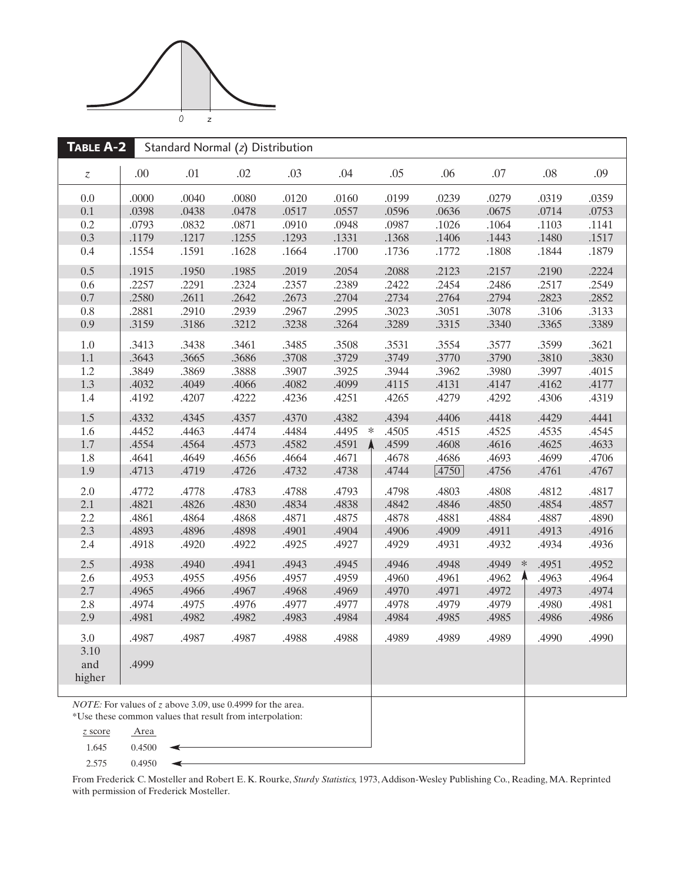

| TABLE A-2                  | Standard Normal (z) Distribution |                                                                                                                                 |       |       |                 |       |       |                 |       |       |
|----------------------------|----------------------------------|---------------------------------------------------------------------------------------------------------------------------------|-------|-------|-----------------|-------|-------|-----------------|-------|-------|
| $\boldsymbol{\mathcal{Z}}$ | .00                              | .01                                                                                                                             | .02   | .03   | .04             | .05   | .06   | .07             | .08   | .09   |
| 0.0                        | .0000                            | .0040                                                                                                                           | .0080 | .0120 | .0160           | .0199 | .0239 | .0279           | .0319 | .0359 |
| 0.1                        | .0398                            | .0438                                                                                                                           | .0478 | .0517 | .0557           | .0596 | .0636 | .0675           | .0714 | .0753 |
| 0.2                        | .0793                            | .0832                                                                                                                           | .0871 | .0910 | .0948           | .0987 | .1026 | .1064           | .1103 | .1141 |
| 0.3                        | .1179                            | .1217                                                                                                                           | .1255 | .1293 | .1331           | .1368 | .1406 | .1443           | .1480 | .1517 |
| 0.4                        | .1554                            | .1591                                                                                                                           | .1628 | .1664 | .1700           | .1736 | .1772 | .1808           | .1844 | .1879 |
| 0.5                        | .1915                            | .1950                                                                                                                           | .1985 | .2019 | .2054           | .2088 | .2123 | .2157           | .2190 | .2224 |
| 0.6                        | .2257                            | .2291                                                                                                                           | .2324 | .2357 | .2389           | .2422 | .2454 | .2486           | .2517 | .2549 |
| 0.7                        | .2580                            | .2611                                                                                                                           | .2642 | .2673 | .2704           | .2734 | .2764 | .2794           | .2823 | .2852 |
| 0.8                        | .2881                            | .2910                                                                                                                           | .2939 | .2967 | .2995           | .3023 | .3051 | .3078           | .3106 | .3133 |
| 0.9                        | .3159                            | .3186                                                                                                                           | .3212 | .3238 | .3264           | .3289 | .3315 | .3340           | .3365 | .3389 |
| 1.0                        | .3413                            | .3438                                                                                                                           | .3461 | .3485 | .3508           | .3531 | .3554 | .3577           | .3599 | .3621 |
| 1.1                        | .3643                            | .3665                                                                                                                           | .3686 | .3708 | .3729           | .3749 | .3770 | .3790           | .3810 | .3830 |
| 1.2                        | .3849                            | .3869                                                                                                                           | .3888 | .3907 | .3925           | .3944 | .3962 | .3980           | .3997 | .4015 |
| 1.3                        | .4032                            | .4049                                                                                                                           | .4066 | .4082 | .4099           | .4115 | .4131 | .4147           | .4162 | .4177 |
| 1.4                        | .4192                            | .4207                                                                                                                           | .4222 | .4236 | .4251           | .4265 | .4279 | .4292           | .4306 | .4319 |
| 1.5                        | .4332                            | .4345                                                                                                                           | .4357 | .4370 | .4382           | .4394 | .4406 | .4418           | .4429 | .4441 |
| 1.6                        | .4452                            | .4463                                                                                                                           | .4474 | .4484 | .4495<br>$\ast$ | .4505 | .4515 | .4525           | .4535 | .4545 |
| 1.7                        | .4554                            | .4564                                                                                                                           | .4573 | .4582 | Α<br>.4591      | .4599 | .4608 | .4616           | .4625 | .4633 |
| 1.8                        | .4641                            | .4649                                                                                                                           | .4656 | .4664 | .4671           | .4678 | .4686 | .4693           | .4699 | .4706 |
| 1.9                        | .4713                            | .4719                                                                                                                           | .4726 | .4732 | .4738           | .4744 | .4750 | .4756           | .4761 | .4767 |
| 2.0                        | .4772                            | .4778                                                                                                                           | .4783 | .4788 | .4793           | .4798 | .4803 | .4808           | .4812 | .4817 |
| 2.1                        | .4821                            | .4826                                                                                                                           | .4830 | .4834 | .4838           | .4842 | .4846 | .4850           | .4854 | .4857 |
| 2.2                        | .4861                            | .4864                                                                                                                           | .4868 | .4871 | .4875           | .4878 | .4881 | .4884           | .4887 | .4890 |
| 2.3                        | .4893                            | .4896                                                                                                                           | .4898 | .4901 | .4904           | .4906 | .4909 | .4911           | .4913 | .4916 |
| 2.4                        | .4918                            | .4920                                                                                                                           | .4922 | .4925 | .4927           | .4929 | .4931 | .4932           | .4934 | .4936 |
| 2.5                        | .4938                            | .4940                                                                                                                           | .4941 | .4943 | .4945           | .4946 | .4948 | .4949<br>$\ast$ | .4951 | .4952 |
| 2.6                        | .4953                            | .4955                                                                                                                           | .4956 | .4957 | .4959           | .4960 | .4961 | .4962           | .4963 | .4964 |
| 2.7                        | .4965                            | .4966                                                                                                                           | .4967 | .4968 | .4969           | .4970 | .4971 | .4972           | .4973 | .4974 |
| 2.8                        | .4974                            | .4975                                                                                                                           | .4976 | .4977 | .4977           | .4978 | .4979 | .4979           | .4980 | .4981 |
| 2.9                        | .4981                            | .4982                                                                                                                           | .4982 | .4983 | .4984           | .4984 | .4985 | .4985           | .4986 | .4986 |
| 3.0                        | .4987                            | .4987                                                                                                                           | .4987 | .4988 | .4988           | .4989 | .4989 | .4989           | .4990 | .4990 |
| 3.10                       |                                  |                                                                                                                                 |       |       |                 |       |       |                 |       |       |
| and                        | .4999                            |                                                                                                                                 |       |       |                 |       |       |                 |       |       |
| higher                     |                                  |                                                                                                                                 |       |       |                 |       |       |                 |       |       |
|                            |                                  |                                                                                                                                 |       |       |                 |       |       |                 |       |       |
|                            |                                  | <i>NOTE:</i> For values of z above 3.09, use 0.4999 for the area.<br>*I leg these common values that result from internalation. |       |       |                 |       |       |                 |       |       |

Use these common values that result from interpolation:

◀

- *z* score Area 1.645 0.4500
- 2.575 0.4950

From Frederick C. Mosteller and Robert E. K. Rourke, *Sturdy Statistics,* 1973, Addison-Wesley Publishing Co., Reading, MA. Reprinted with permission of Frederick Mosteller.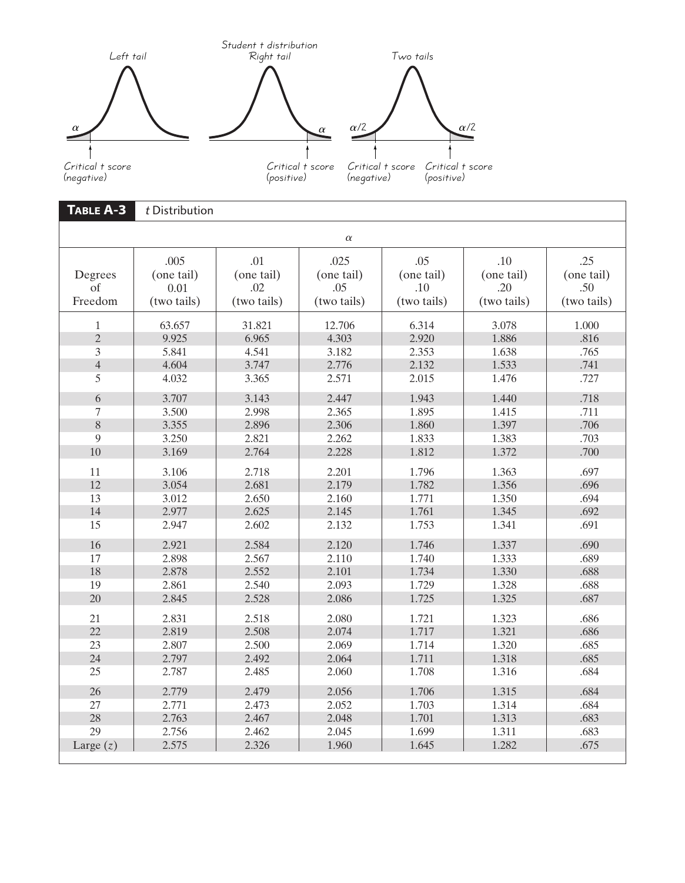

| TABLE A-3                | t Distribution                            |                                         |                                          |                                         |                                         |                                         |  |  |  |
|--------------------------|-------------------------------------------|-----------------------------------------|------------------------------------------|-----------------------------------------|-----------------------------------------|-----------------------------------------|--|--|--|
| $\alpha$                 |                                           |                                         |                                          |                                         |                                         |                                         |  |  |  |
| Degrees<br>Οf<br>Freedom | .005<br>(one tail)<br>0.01<br>(two tails) | .01<br>(one tail)<br>.02<br>(two tails) | .025<br>(one tail)<br>.05<br>(two tails) | .05<br>(one tail)<br>.10<br>(two tails) | .10<br>(one tail)<br>.20<br>(two tails) | .25<br>(one tail)<br>.50<br>(two tails) |  |  |  |
| $\mathbf{1}$             | 63.657                                    | 31.821                                  | 12.706                                   | 6.314                                   | 3.078                                   | 1.000                                   |  |  |  |
| $\overline{2}$           | 9.925                                     | 6.965                                   | 4.303                                    | 2.920                                   | 1.886                                   | .816                                    |  |  |  |
| 3                        | 5.841                                     | 4.541                                   | 3.182                                    | 2.353                                   | 1.638                                   | .765                                    |  |  |  |
| $\overline{4}$           | 4.604                                     | 3.747                                   | 2.776                                    | 2.132                                   | 1.533                                   | .741                                    |  |  |  |
| 5                        | 4.032                                     | 3.365                                   | 2.571                                    | 2.015                                   | 1.476                                   | .727                                    |  |  |  |
| 6                        | 3.707                                     | 3.143                                   | 2.447                                    | 1.943                                   | 1.440                                   | .718                                    |  |  |  |
| $\tau$                   | 3.500                                     | 2.998                                   | 2.365                                    | 1.895                                   | 1.415                                   | .711                                    |  |  |  |
| 8                        | 3.355                                     | 2.896                                   | 2.306                                    | 1.860                                   | 1.397                                   | .706                                    |  |  |  |
| 9                        | 3.250                                     | 2.821                                   | 2.262                                    | 1.833                                   | 1.383                                   | .703                                    |  |  |  |
| 10                       | 3.169                                     | 2.764                                   | 2.228                                    | 1.812                                   | 1.372                                   | .700                                    |  |  |  |
| 11                       | 3.106                                     | 2.718                                   | 2.201                                    | 1.796                                   | 1.363                                   | .697                                    |  |  |  |
| 12                       | 3.054                                     | 2.681                                   | 2.179                                    | 1.782                                   | 1.356                                   | .696                                    |  |  |  |
| 13                       | 3.012                                     | 2.650                                   | 2.160                                    | 1.771                                   | 1.350                                   | .694                                    |  |  |  |
| 14                       | 2.977                                     | 2.625                                   | 2.145                                    | 1.761                                   | 1.345                                   | .692                                    |  |  |  |
| 15                       | 2.947                                     | 2.602                                   | 2.132                                    | 1.753                                   | 1.341                                   | .691                                    |  |  |  |
| 16                       | 2.921                                     | 2.584                                   | 2.120                                    | 1.746                                   | 1.337                                   | .690                                    |  |  |  |
| 17                       | 2.898                                     | 2.567                                   | 2.110                                    | 1.740                                   | 1.333                                   | .689                                    |  |  |  |
| 18                       | 2.878                                     | 2.552                                   | 2.101                                    | 1.734                                   | 1.330                                   | .688                                    |  |  |  |
| 19                       | 2.861                                     | 2.540                                   | 2.093                                    | 1.729                                   | 1.328                                   | .688                                    |  |  |  |
| 20                       | 2.845                                     | 2.528                                   | 2.086                                    | 1.725                                   | 1.325                                   | .687                                    |  |  |  |
| 21                       | 2.831                                     | 2.518                                   | 2.080                                    | 1.721                                   | 1.323                                   | .686                                    |  |  |  |
| 22                       | 2.819                                     | 2.508                                   | 2.074                                    | 1.717                                   | 1.321                                   | .686                                    |  |  |  |
| 23                       | 2.807                                     | 2.500                                   | 2.069                                    | 1.714                                   | 1.320                                   | .685                                    |  |  |  |
| 24                       | 2.797                                     | 2.492                                   | 2.064                                    | 1.711                                   | 1.318                                   | .685                                    |  |  |  |
| 25                       | 2.787                                     | 2.485                                   | 2.060                                    | 1.708                                   | 1.316                                   | .684                                    |  |  |  |
| 26                       | 2.779                                     | 2.479                                   | 2.056                                    | 1.706                                   | 1.315                                   | .684                                    |  |  |  |
| 27                       | 2.771                                     | 2.473                                   | 2.052                                    | 1.703                                   | 1.314                                   | .684                                    |  |  |  |
| 28                       | 2.763                                     | 2.467                                   | 2.048                                    | 1.701                                   | 1.313                                   | .683                                    |  |  |  |
| 29                       | 2.756                                     | 2.462                                   | 2.045                                    | 1.699                                   | 1.311                                   | .683                                    |  |  |  |
| Large $(z)$              | 2.575                                     | 2.326                                   | 1.960                                    | 1.645                                   | 1.282                                   | .675                                    |  |  |  |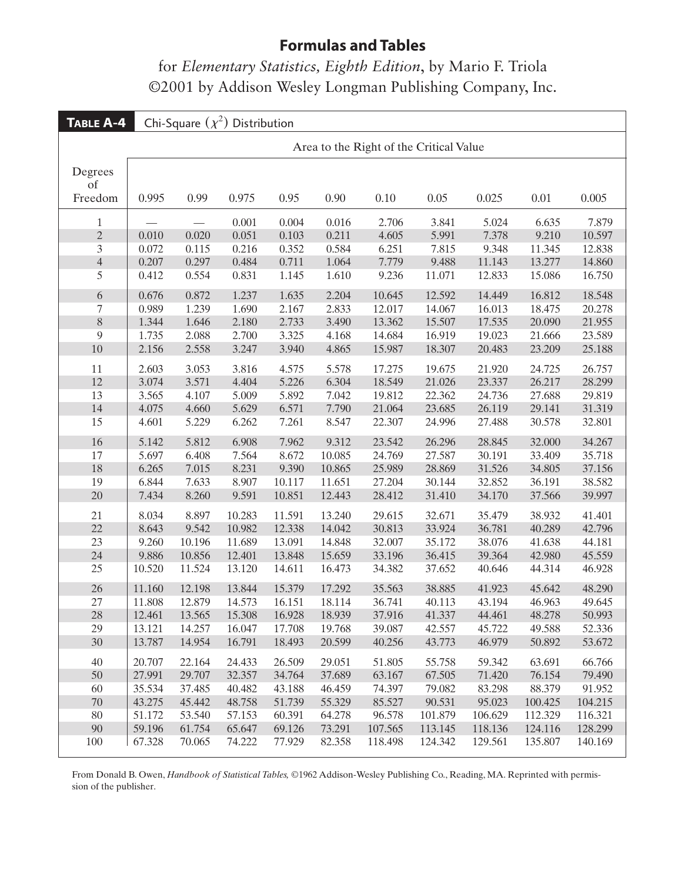for *Elementary Statistics, Eighth Edition*, by Mario F. Triola ©2001 by Addison Wesley Longman Publishing Company, Inc.

| TABLE A-4        | Chi-Square $(\chi^2)$ Distribution      |        |        |        |        |         |         |         |         |         |
|------------------|-----------------------------------------|--------|--------|--------|--------|---------|---------|---------|---------|---------|
|                  | Area to the Right of the Critical Value |        |        |        |        |         |         |         |         |         |
| Degrees<br>of    |                                         |        |        |        |        |         |         |         |         |         |
| Freedom          | 0.995                                   | 0.99   | 0.975  | 0.95   | 0.90   | 0.10    | 0.05    | 0.025   | 0.01    | 0.005   |
| $\mathbf{1}$     |                                         |        | 0.001  | 0.004  | 0.016  | 2.706   | 3.841   | 5.024   | 6.635   | 7.879   |
| $\overline{c}$   | 0.010                                   | 0.020  | 0.051  | 0.103  | 0.211  | 4.605   | 5.991   | 7.378   | 9.210   | 10.597  |
| $\overline{3}$   | 0.072                                   | 0.115  | 0.216  | 0.352  | 0.584  | 6.251   | 7.815   | 9.348   | 11.345  | 12.838  |
| $\overline{4}$   | 0.207                                   | 0.297  | 0.484  | 0.711  | 1.064  | 7.779   | 9.488   | 11.143  | 13.277  | 14.860  |
| 5                | 0.412                                   | 0.554  | 0.831  | 1.145  | 1.610  | 9.236   | 11.071  | 12.833  | 15.086  | 16.750  |
| $\boldsymbol{6}$ | 0.676                                   | 0.872  | 1.237  | 1.635  | 2.204  | 10.645  | 12.592  | 14.449  | 16.812  | 18.548  |
| $\boldsymbol{7}$ | 0.989                                   | 1.239  | 1.690  | 2.167  | 2.833  | 12.017  | 14.067  | 16.013  | 18.475  | 20.278  |
| 8                | 1.344                                   | 1.646  | 2.180  | 2.733  | 3.490  | 13.362  | 15.507  | 17.535  | 20.090  | 21.955  |
| 9                | 1.735                                   | 2.088  | 2.700  | 3.325  | 4.168  | 14.684  | 16.919  | 19.023  | 21.666  | 23.589  |
| 10               | 2.156                                   | 2.558  | 3.247  | 3.940  | 4.865  | 15.987  | 18.307  | 20.483  | 23.209  | 25.188  |
| 11               | 2.603                                   | 3.053  | 3.816  | 4.575  | 5.578  | 17.275  | 19.675  | 21.920  | 24.725  | 26.757  |
| 12               | 3.074                                   | 3.571  | 4.404  | 5.226  | 6.304  | 18.549  | 21.026  | 23.337  | 26.217  | 28.299  |
| 13               | 3.565                                   | 4.107  | 5.009  | 5.892  | 7.042  | 19.812  | 22.362  | 24.736  | 27.688  | 29.819  |
| 14               | 4.075                                   | 4.660  | 5.629  | 6.571  | 7.790  | 21.064  | 23.685  | 26.119  | 29.141  | 31.319  |
| 15               | 4.601                                   | 5.229  | 6.262  | 7.261  | 8.547  | 22.307  | 24.996  | 27.488  | 30.578  | 32.801  |
| 16               | 5.142                                   | 5.812  | 6.908  | 7.962  | 9.312  | 23.542  | 26.296  | 28.845  | 32.000  | 34.267  |
| 17               | 5.697                                   | 6.408  | 7.564  | 8.672  | 10.085 | 24.769  | 27.587  | 30.191  | 33.409  | 35.718  |
| 18               | 6.265                                   | 7.015  | 8.231  | 9.390  | 10.865 | 25.989  | 28.869  | 31.526  | 34.805  | 37.156  |
| 19               | 6.844                                   | 7.633  | 8.907  | 10.117 | 11.651 | 27.204  | 30.144  | 32.852  | 36.191  | 38.582  |
| 20               | 7.434                                   | 8.260  | 9.591  | 10.851 | 12.443 | 28.412  | 31.410  | 34.170  | 37.566  | 39.997  |
| 21               | 8.034                                   | 8.897  | 10.283 | 11.591 | 13.240 | 29.615  | 32.671  | 35.479  | 38.932  | 41.401  |
| 22               | 8.643                                   | 9.542  | 10.982 | 12.338 | 14.042 | 30.813  | 33.924  | 36.781  | 40.289  | 42.796  |
| 23               | 9.260                                   | 10.196 | 11.689 | 13.091 | 14.848 | 32.007  | 35.172  | 38.076  | 41.638  | 44.181  |
| 24               | 9.886                                   | 10.856 | 12.401 | 13.848 | 15.659 | 33.196  | 36.415  | 39.364  | 42.980  | 45.559  |
| 25               | 10.520                                  | 11.524 | 13.120 | 14.611 | 16.473 | 34.382  | 37.652  | 40.646  | 44.314  | 46.928  |
| 26               | 11.160                                  | 12.198 | 13.844 | 15.379 | 17.292 | 35.563  | 38.885  | 41.923  | 45.642  | 48.290  |
| 27               | 11.808                                  | 12.879 | 14.573 | 16.151 | 18.114 | 36.741  | 40.113  | 43.194  | 46.963  | 49.645  |
| 28               | 12.461                                  | 13.565 | 15.308 | 16.928 | 18.939 | 37.916  | 41.337  | 44.461  | 48.278  | 50.993  |
| 29               | 13.121                                  | 14.257 | 16.047 | 17.708 | 19.768 | 39.087  | 42.557  | 45.722  | 49.588  | 52.336  |
| 30               | 13.787                                  | 14.954 | 16.791 | 18.493 | 20.599 | 40.256  | 43.773  | 46.979  | 50.892  | 53.672  |
| 40               | 20.707                                  | 22.164 | 24.433 | 26.509 | 29.051 | 51.805  | 55.758  | 59.342  | 63.691  | 66.766  |
| 50               | 27.991                                  | 29.707 | 32.357 | 34.764 | 37.689 | 63.167  | 67.505  | 71.420  | 76.154  | 79.490  |
| 60               | 35.534                                  | 37.485 | 40.482 | 43.188 | 46.459 | 74.397  | 79.082  | 83.298  | 88.379  | 91.952  |
| 70               | 43.275                                  | 45.442 | 48.758 | 51.739 | 55.329 | 85.527  | 90.531  | 95.023  | 100.425 | 104.215 |
| 80               | 51.172                                  | 53.540 | 57.153 | 60.391 | 64.278 | 96.578  | 101.879 | 106.629 | 112.329 | 116.321 |
| 90               | 59.196                                  | 61.754 | 65.647 | 69.126 | 73.291 | 107.565 | 113.145 | 118.136 | 124.116 | 128.299 |
| 100              | 67.328                                  | 70.065 | 74.222 | 77.929 | 82.358 | 118.498 | 124.342 | 129.561 | 135.807 | 140.169 |

From Donald B. Owen, *Handbook of Statistical Tables,* ©1962 Addison-Wesley Publishing Co., Reading, MA. Reprinted with permission of the publisher.